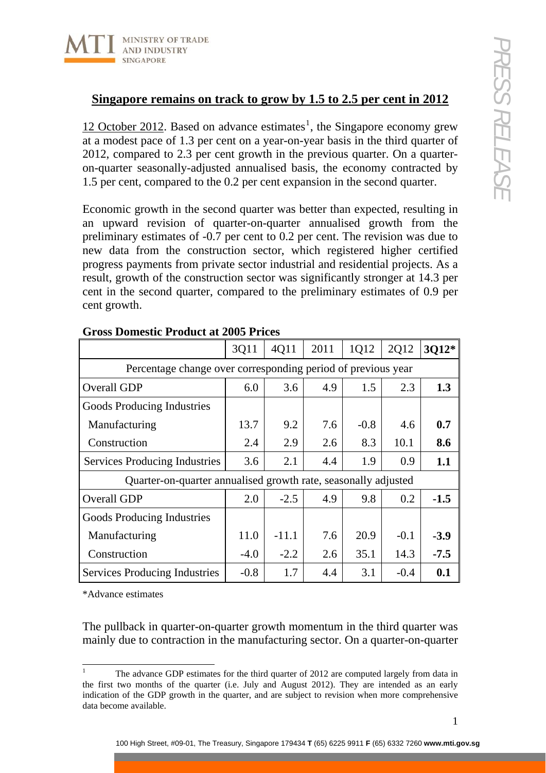<span id="page-0-0"></span>

## **Singapore remains on track to grow by 1.5 to 2.5 per cent in 2012**

[1](#page-0-0)2 October 2012. Based on advance estimates<sup>1</sup>, the Singapore economy grew at a modest pace of 1.3 per cent on a year-on-year basis in the third quarter of 2012, compared to 2.3 per cent growth in the previous quarter. On a quarteron-quarter seasonally-adjusted annualised basis, the economy contracted by 1.5 per cent, compared to the 0.2 per cent expansion in the second quarter.

Economic growth in the second quarter was better than expected, resulting in an upward revision of quarter-on-quarter annualised growth from the preliminary estimates of -0.7 per cent to 0.2 per cent. The revision was due to new data from the construction sector, which registered higher certified progress payments from private sector industrial and residential projects. As a result, growth of the construction sector was significantly stronger at 14.3 per cent in the second quarter, compared to the preliminary estimates of 0.9 per cent growth.

|                                                                | 3Q11   | 4Q11    | 2011 | 1Q12   | 2Q12   | 3012*  |
|----------------------------------------------------------------|--------|---------|------|--------|--------|--------|
| Percentage change over corresponding period of previous year   |        |         |      |        |        |        |
| <b>Overall GDP</b>                                             | 6.0    | 3.6     | 4.9  | 1.5    | 2.3    | 1.3    |
| Goods Producing Industries                                     |        |         |      |        |        |        |
| Manufacturing                                                  | 13.7   | 9.2     | 7.6  | $-0.8$ | 4.6    | 0.7    |
| Construction                                                   | 2.4    | 2.9     | 2.6  | 8.3    | 10.1   | 8.6    |
| Services Producing Industries                                  | 3.6    | 2.1     | 4.4  | 1.9    | 0.9    | 1.1    |
| Quarter-on-quarter annualised growth rate, seasonally adjusted |        |         |      |        |        |        |
| <b>Overall GDP</b>                                             | 2.0    | $-2.5$  | 4.9  | 9.8    | 0.2    | $-1.5$ |
| Goods Producing Industries                                     |        |         |      |        |        |        |
| Manufacturing                                                  | 11.0   | $-11.1$ | 7.6  | 20.9   | $-0.1$ | $-3.9$ |
| Construction                                                   | $-4.0$ | $-2.2$  | 2.6  | 35.1   | 14.3   | $-7.5$ |
| <b>Services Producing Industries</b>                           | $-0.8$ | 1.7     | 4.4  | 3.1    | $-0.4$ | 0.1    |

## **Gross Domestic Product at 2005 Prices**

\*Advance estimates

The pullback in quarter-on-quarter growth momentum in the third quarter was mainly due to contraction in the manufacturing sector. On a quarter-on-quarter

 $\frac{1}{1}$  The advance GDP estimates for the third quarter of 2012 are computed largely from data in the first two months of the quarter (i.e. July and August 2012). They are intended as an early indication of the GDP growth in the quarter, and are subject to revision when more comprehensive data become available.